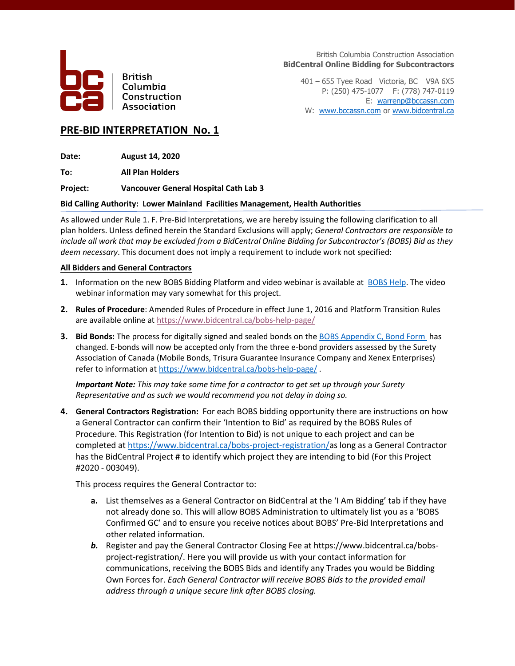

**British** Columbia Construction Association

British Columbia Construction Association **BidCentral Online Bidding for Subcontractors**

401 – 655 Tyee Road Victoria, BC V9A 6X5 P: (250) 475-1077 F: (778) 747-0119 E: [warrenp@bccassn.com](mailto:warrenp@bccassn.com) W: [www.bccassn.com](http://www.bccassn.com/) o[r www.bidcentral.ca](http://www.bidcentral.ca/)

# **PRE-BID INTERPRETATION No. 1**

**Date: August 14, 2020**

**To: All Plan Holders**

**Project: Vancouver General Hospital Cath Lab 3**

## **Bid Calling Authority: Lower Mainland Facilities Management, Health Authorities**

As allowed under Rule 1. F. Pre-Bid Interpretations, we are hereby issuing the following clarification to all plan holders. Unless defined herein the Standard Exclusions will apply; *General Contractors are responsible to include all work that may be excluded from a BidCentral Online Bidding for Subcontractor's (BOBS) Bid as they deem necessary*. This document does not imply a requirement to include work not specified:

## **All Bidders and General Contractors**

- **1.** Information on the new BOBS Bidding Platform and video webinar is available at [BOBS](https://www.bidcentral.ca/bobs-help-page/) Help. The video webinar information may vary somewhat for this project.
- **2. Rules of Procedure**: Amended Rules of Procedure in effect June 1, 2016 and Platform Transition Rules are available online at<https://www.bidcentral.ca/bobs-help-page/>
- **3.** Bid Bonds: The process for digitally signed and sealed bonds on th[e BOBS Appendix C, Bond Form](https://www.bidcentral.ca/help/bobs-bond-form/) has changed. E-bonds will now be accepted only from the three e-bond providers assessed by the Surety Association of Canada (Mobile Bonds, Trisura Guarantee Insurance Company and Xenex Enterprises) refer to information at<https://www.bidcentral.ca/bobs-help-page/> .

*Important Note: This may take some time for a contractor to get set up through your Surety Representative and as such we would recommend you not delay in doing so.* 

**4. General Contractors Registration:** For each BOBS bidding opportunity there are instructions on how a General Contractor can confirm their 'Intention to Bid' as required by the BOBS Rules of Procedure. This Registration (for Intention to Bid) is not unique to each project and can be completed at [https://www.bidcentral.ca/bobs-project-registration/a](https://www.bidcentral.ca/bobs-project-registration/)s long as a General Contractor has the BidCentral Project # to identify which project they are intending to bid (For this Project #2020 - 003049).

This process requires the General Contractor to:

- **a.** List themselves as a General Contractor on BidCentral at the 'I Am Bidding' tab if they have not already done so. This will allow BOBS Administration to ultimately list you as a 'BOBS Confirmed GC' and to ensure you receive notices about BOBS' Pre-Bid Interpretations and other related information.
- *b.* Register and pay the General Contractor Closing Fee at https://www.bidcentral.ca/bobsproject-registration/. Here you will provide us with your contact information for communications, receiving the BOBS Bids and identify any Trades you would be Bidding Own Forces for. *Each General Contractor will receive BOBS Bids to the provided email address through a unique secure link after BOBS closing.*